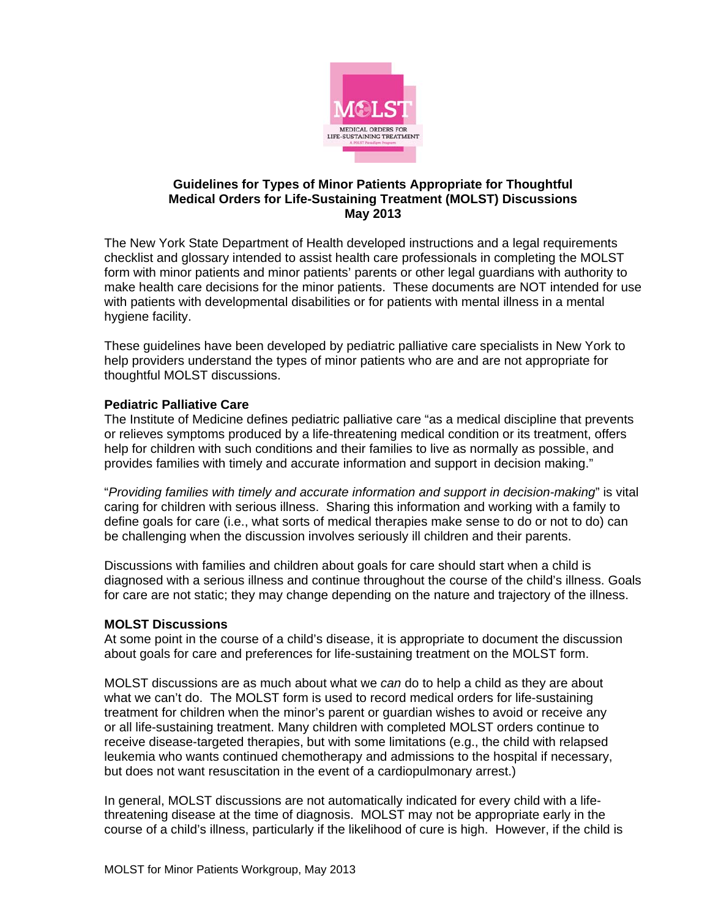

### **Guidelines for Types of Minor Patients Appropriate for Thoughtful Medical Orders for Life-Sustaining Treatment (MOLST) Discussions May 2013**

The New York State Department of Health developed instructions and a legal requirements checklist and glossary intended to assist health care professionals in completing the MOLST form with minor patients and minor patients' parents or other legal guardians with authority to make health care decisions for the minor patients. These documents are NOT intended for use with patients with developmental disabilities or for patients with mental illness in a mental hygiene facility.

These guidelines have been developed by pediatric palliative care specialists in New York to help providers understand the types of minor patients who are and are not appropriate for thoughtful MOLST discussions.

## **Pediatric Palliative Care**

The Institute of Medicine defines pediatric palliative care "as a medical discipline that prevents or relieves symptoms produced by a life-threatening medical condition or its treatment, offers help for children with such conditions and their families to live as normally as possible, and provides families with timely and accurate information and support in decision making."

"*Providing families with timely and accurate information and support in decision-making*" is vital caring for children with serious illness. Sharing this information and working with a family to define goals for care (i.e., what sorts of medical therapies make sense to do or not to do) can be challenging when the discussion involves seriously ill children and their parents.

Discussions with families and children about goals for care should start when a child is diagnosed with a serious illness and continue throughout the course of the child's illness. Goals for care are not static; they may change depending on the nature and trajectory of the illness.

#### **MOLST Discussions**

At some point in the course of a child's disease, it is appropriate to document the discussion about goals for care and preferences for life-sustaining treatment on the MOLST form.

MOLST discussions are as much about what we *can* do to help a child as they are about what we can't do. The MOLST form is used to record medical orders for life-sustaining treatment for children when the minor's parent or guardian wishes to avoid or receive any or all life-sustaining treatment. Many children with completed MOLST orders continue to receive disease-targeted therapies, but with some limitations (e.g., the child with relapsed leukemia who wants continued chemotherapy and admissions to the hospital if necessary, but does not want resuscitation in the event of a cardiopulmonary arrest.)

In general, MOLST discussions are not automatically indicated for every child with a lifethreatening disease at the time of diagnosis. MOLST may not be appropriate early in the course of a child's illness, particularly if the likelihood of cure is high. However, if the child is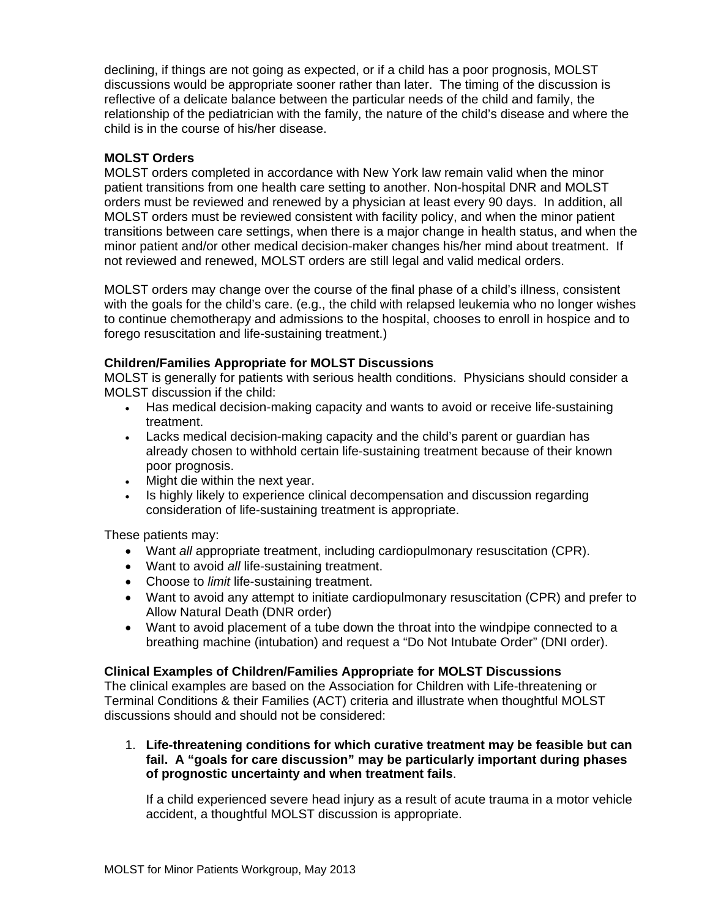declining, if things are not going as expected, or if a child has a poor prognosis, MOLST discussions would be appropriate sooner rather than later. The timing of the discussion is reflective of a delicate balance between the particular needs of the child and family, the relationship of the pediatrician with the family, the nature of the child's disease and where the child is in the course of his/her disease.

# **MOLST Orders**

MOLST orders completed in accordance with New York law remain valid when the minor patient transitions from one health care setting to another. Non-hospital DNR and MOLST orders must be reviewed and renewed by a physician at least every 90 days. In addition, all MOLST orders must be reviewed consistent with facility policy, and when the minor patient transitions between care settings, when there is a major change in health status, and when the minor patient and/or other medical decision-maker changes his/her mind about treatment. If not reviewed and renewed, MOLST orders are still legal and valid medical orders.

MOLST orders may change over the course of the final phase of a child's illness, consistent with the goals for the child's care. (e.g., the child with relapsed leukemia who no longer wishes to continue chemotherapy and admissions to the hospital, chooses to enroll in hospice and to forego resuscitation and life-sustaining treatment.)

## **Children/Families Appropriate for MOLST Discussions**

MOLST is generally for patients with serious health conditions. Physicians should consider a MOLST discussion if the child:

- Has medical decision-making capacity and wants to avoid or receive life-sustaining treatment.
- Lacks medical decision-making capacity and the child's parent or guardian has already chosen to withhold certain life-sustaining treatment because of their known poor prognosis.
- Might die within the next year.
- Is highly likely to experience clinical decompensation and discussion regarding consideration of life-sustaining treatment is appropriate.

These patients may:

- Want *all* appropriate treatment, including cardiopulmonary resuscitation (CPR).
- Want to avoid *all* life-sustaining treatment.
- Choose to *limit* life-sustaining treatment.
- Want to avoid any attempt to initiate cardiopulmonary resuscitation (CPR) and prefer to Allow Natural Death (DNR order)
- Want to avoid placement of a tube down the throat into the windpipe connected to a breathing machine (intubation) and request a "Do Not Intubate Order" (DNI order).

## **Clinical Examples of Children/Families Appropriate for MOLST Discussions**

The clinical examples are based on the Association for Children with Life-threatening or Terminal Conditions & their Families (ACT) criteria and illustrate when thoughtful MOLST discussions should and should not be considered:

1. **Life-threatening conditions for which curative treatment may be feasible but can fail. A "goals for care discussion" may be particularly important during phases of prognostic uncertainty and when treatment fails**.

If a child experienced severe head injury as a result of acute trauma in a motor vehicle accident, a thoughtful MOLST discussion is appropriate.